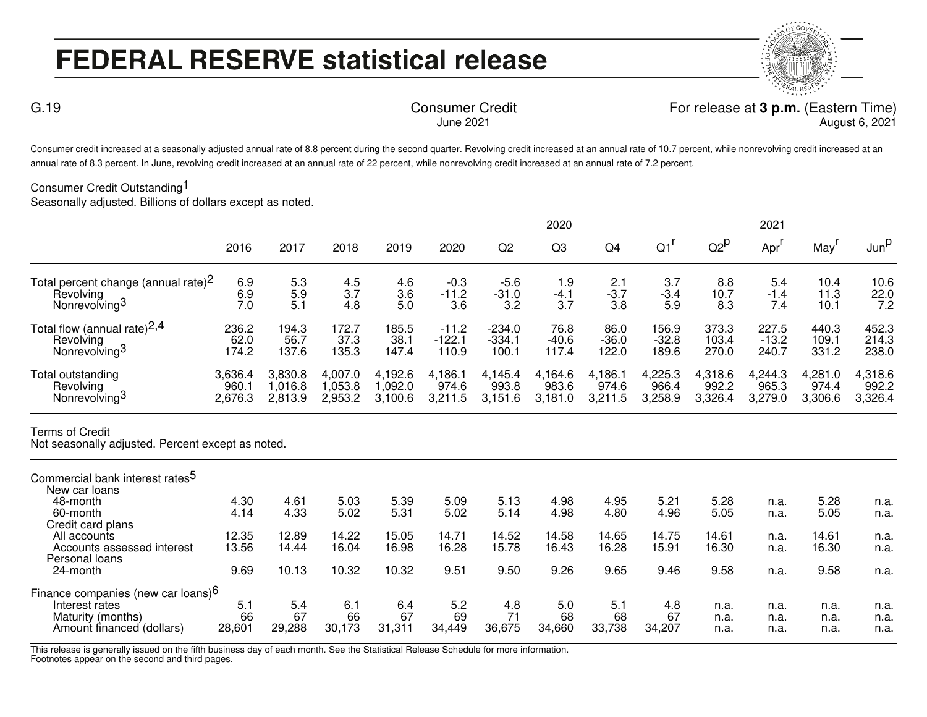## **FEDERAL RESERVE statistical release**

Consumer Credit For release at **3 p.m.** (Eastern Time) August 6, 2021

Consumer credit increased at a seasonally adjusted annual rate of 8.8 percent during the second quarter. Revolving credit increased at an annual rate of 10.7 percent, while nonrevolving credit increased at an annual rate of 8.3 percent. In June, revolving credit increased at an annual rate of 22 percent, while nonrevolving credit increased at an annual rate of 7.2 percent.

June 2021

## Consumer Credit Outstanding<sup>1</sup>

G.19

Seasonally adjusted. Billions of dollars except as noted.

|                                                 |         |         |         |           |          |                | 2020           |         |         |                   | 2021    |         |                  |
|-------------------------------------------------|---------|---------|---------|-----------|----------|----------------|----------------|---------|---------|-------------------|---------|---------|------------------|
|                                                 | 2016    | 2017    | 2018    | 2019      | 2020     | Q <sub>2</sub> | Q <sub>3</sub> | Q4      | Q1      | $Q2^{\mathsf{p}}$ | Apr'    | May     | Jun <sup>p</sup> |
| Total percent change (annual rate) <sup>2</sup> | 6.9     | 5.3     | 4.5     | 4.6       | $-0.3$   | $-5.6$         | 1.9            | 2.1     | 3.7     | 8.8               | 5.4     | 10.4    | 10.6             |
| Revolving                                       | 6.9     | 5.9     | 3.7     | 3.6       | $-11.2$  | $-31.0$        | $-4.1$         | $-3.7$  | $-3.4$  | 10.7              | $-1.4$  | 11.3    | 22.0             |
| Nonrevolving <sup>3</sup>                       | 7.0     | 5.1     | 4.8     | 5.0       | 3.6      | 3.2            | 3.7            | 3.8     | 5.9     | 8.3               | 7.4     | 10.1    | 7.2              |
| Total flow (annual rate) $2,4$                  | 236.2   | 194.3   | 172.7   | 185.5     | $-11.2$  | $-234.0$       | 76.8           | 86.0    | 156.9   | 373.3             | 227.5   | 440.3   | 452.3            |
| Revolving                                       | 62.0    | 56.7    | 37.3    | 38.1      | $-122.1$ | $-334.1$       | $-40.6$        | $-36.0$ | $-32.8$ | 103.4             | $-13.2$ | 109.1   | 214.3            |
| Nonrevolving <sup>3</sup>                       | 174.2   | 137.6   | 135.3   | 147.4     | 110.9    | 100.1          | 117.4          | 122.0   | 189.6   | 270.0             | 240.7   | 331.2   | 238.0            |
| Total outstanding                               | 3,636.4 | 3,830.8 | 4,007.0 | 4,192.6   | 4,186.1  | 4,145.4        | 4,164.6        | 4,186.1 | 4,225.3 | 4,318.6           | 4,244.3 | 4,281.0 | 4,318.6          |
| Revolving                                       | 960.7   | 1.016.8 | .053.8  | 0.092.0 ا | 974.6    | 993.8          | 983.6          | 974.6   | 966.4   | 992.2             | 965.3   | 974.4   | 992.2            |
| Nonrevolving <sup>3</sup>                       | 2,676.3 | 2,813.9 | 2,953.2 | 3,100.6   | 3,211.5  | 3,151.6        | 3,181.0        | 3,211.5 | 3,258.9 | 3,326.4           | 3,279.0 | 3,306.6 | 3,326.4          |

## Terms of Credit

Not seasonally adjusted. Percent except as noted.

| Commercial bank interest rates <sup>5</sup>    |        |        |        |            |        |        |        |        |        |       |      |       |      |
|------------------------------------------------|--------|--------|--------|------------|--------|--------|--------|--------|--------|-------|------|-------|------|
| New car loans                                  |        |        |        |            |        |        |        |        |        |       |      |       |      |
| 48-month                                       | 4.30   | 4.61   | 5.03   | 5.39       | 5.09   | 5.13   | 4.98   | 4.95   | 5.21   | 5.28  | n.a. | 5.28  | n.a. |
| 60-month                                       | 4.14   | 4.33   | 5.02   | 5.31       | 5.02   | 5.14   | 4.98   | 4.80   | 4.96   | 5.05  | n.a. | 5.05  | n.a. |
| Credit card plans                              |        |        |        |            |        |        |        |        |        |       |      |       |      |
| All accounts                                   | 12.35  | 12.89  | 14.22  | 15.05      | 14.71  | 14.52  | 14.58  | 14.65  | 14.75  | 14.61 | n.a. | 14.61 | n.a. |
| Accounts assessed interest                     | 13.56  | 14.44  | 16.04  | 16.98      | 16.28  | 15.78  | 16.43  | 16.28  | 15.91  | 16.30 | n.a. | 16.30 | n.a. |
| Personal loans                                 |        |        |        |            |        |        |        |        |        |       |      |       |      |
| 24-month                                       | 9.69   | 10.13  | 10.32  | 10.32      | 9.51   | 9.50   | 9.26   | 9.65   | 9.46   | 9.58  | n.a. | 9.58  | n.a. |
| Finance companies (new car loans) <sup>6</sup> |        |        |        |            |        |        |        |        |        |       |      |       |      |
| Interest rates                                 | 5.1    | 5.4    | 6.1    | 6.4        | 5.2    | 4.8    | 5.0    | 5.1    | 4.8    | n.a.  | n.a. | n.a.  | n.a. |
| Maturity (months)                              | 66     | 67     | 66     | 67         | 69     | 71     | 68     | 68     | 67     | n.a.  | n.a. | n.a.  | n.a. |
| Amount financed (dollars)                      | 28,601 | 29,288 | 30,173 | 311,<br>31 | 34,449 | 36,675 | 34,660 | 33,738 | 34.207 | n.a.  | n.a. | n.a.  | n.a. |
|                                                |        |        |        |            |        |        |        |        |        |       |      |       |      |

This release is generally issued on the fifth business day of each month. See the Statistical Release Schedule for more information. Footnotes appear on the second and third pages.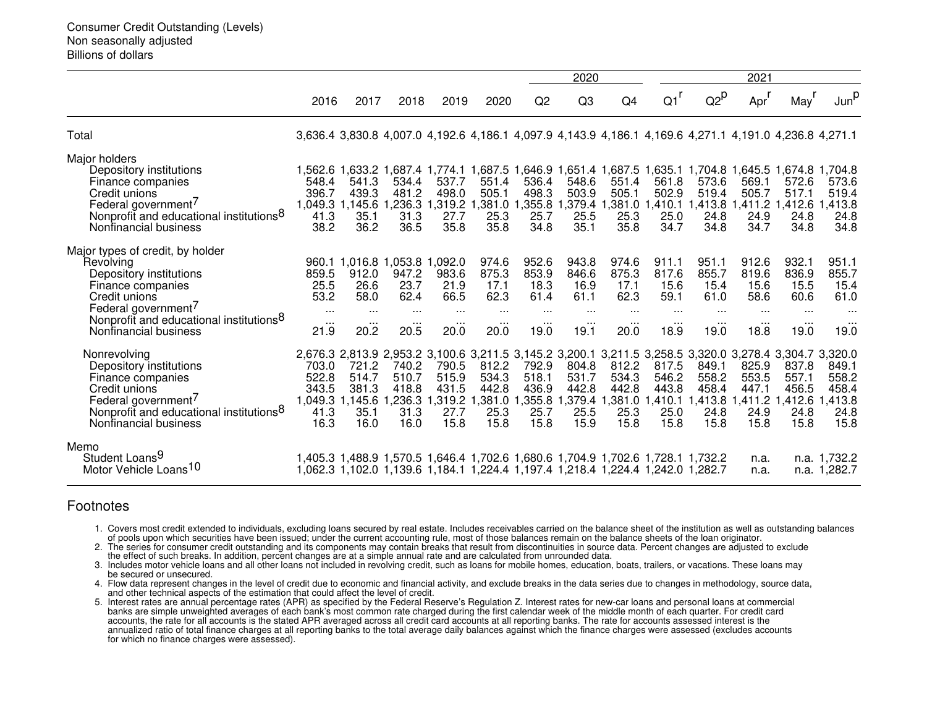|                                                                                                                                                                                                                                   |                                                       |                                                    |                                                                                                                                                                    |                                                    |                                                    |                                                                | 2020                                                           |                                                                |                                                                   | 2021                                                           |                                                                |                                                                                                                                                                |                                                    |  |
|-----------------------------------------------------------------------------------------------------------------------------------------------------------------------------------------------------------------------------------|-------------------------------------------------------|----------------------------------------------------|--------------------------------------------------------------------------------------------------------------------------------------------------------------------|----------------------------------------------------|----------------------------------------------------|----------------------------------------------------------------|----------------------------------------------------------------|----------------------------------------------------------------|-------------------------------------------------------------------|----------------------------------------------------------------|----------------------------------------------------------------|----------------------------------------------------------------------------------------------------------------------------------------------------------------|----------------------------------------------------|--|
|                                                                                                                                                                                                                                   | 2016                                                  | 2017                                               | 2018                                                                                                                                                               | 2019                                               | 2020                                               | Q <sub>2</sub>                                                 | Q <sub>3</sub>                                                 | Q4                                                             | $Q1$ <sup>r</sup>                                                 | $Q2^p$                                                         | Apr'                                                           | May <sup>'</sup>                                                                                                                                               | Junp                                               |  |
| Total                                                                                                                                                                                                                             |                                                       |                                                    |                                                                                                                                                                    |                                                    |                                                    |                                                                |                                                                |                                                                |                                                                   |                                                                |                                                                | 3,636.4 3,830.8 4,007.0 4,192.6 4,186.1 4,097.9 4,143.9 4,186.1 4,169.6 4,271.1 4,191.0 4,236.8 4,271.1                                                        |                                                    |  |
| Major holders<br>Depository institutions<br>Finance companies<br>Credit unions<br>Federal government <sup>/</sup><br>Nonprofit and educational institutions <sup>8</sup><br>Nonfinancial business                                 | 548.4<br>396.7<br>41.3<br>38.2                        | 541.3<br>439.3<br>35.1<br>36.2                     | 534.4<br>481.2<br>1,049.3 1,145.6 1,236.3 1,319.2<br>31.3<br>36.5                                                                                                  | 537.7<br>498.0<br>27.7<br>35.8                     | 551.4<br>505.1<br>1,381.0 1,355.8<br>25.3<br>35.8  | 536.4<br>498.3<br>25.7<br>34.8                                 | 548.6<br>503.9<br>25.5<br>35.1                                 | 551.4<br>505.1<br>25.3<br>35.8                                 | 561.8<br>502.9<br>1,379.4 1,381.0 1,410.1<br>25.0<br>34.7         | 573.6<br>519.4<br>24.8<br>34.8                                 | 569.1<br>505.7<br>24.9<br>34.7                                 | 1,562.6 1,633.2 1,687.4 1,774.1 1,687.5 1,646.9 1,651.4 1,687.5 1,635.1 1,704.8 1,645.5 1,674.8 1<br>572.6<br>517.1<br>1,413.8 1,411.2 1,412.6<br>24.8<br>34.8 | .704.8<br>573.6<br>519.4<br>,413.8<br>24.8<br>34.8 |  |
| Major types of credit, by holder<br>Revolving<br>Depository institutions<br>Finance companies<br>Credit unions<br>Federal government <sup>/</sup><br>Nonprofit and educational institutions <sup>8</sup><br>Nonfinancial business | 859.5<br>25.5<br>53.2<br>$\cdots$<br>$\cdots$<br>21.9 | 912.0<br>26.6<br>58.0<br>$\cdots$<br>20.2          | 960.1 1,016.8 1,053.8 1,092.0<br>947.2<br>23.7<br>62.4<br>$\cdots$<br>20.5                                                                                         | 983.6<br>21.9<br>66.5<br>$\cdots$<br>20.0          | 974.6<br>875.3<br>17.1<br>62.3<br>$\cdots$<br>20.0 | 952.6<br>853.9<br>18.3<br>61.4<br>$\cdots$<br>$\cdots$<br>19.0 | 943.8<br>846.6<br>16.9<br>61.1<br>$\cdots$<br>$\cdots$<br>19.1 | 974.6<br>875.3<br>17.1<br>62.3<br>$\cdots$<br>$\cdots$<br>20.0 | 911.1<br>817.6<br>15.6<br>59.1<br>$\cdots$<br>$\cdots$<br>18.9    | 951.1<br>855.7<br>15.4<br>61.0<br>$\cdots$<br>$\cdots$<br>19.0 | 912.6<br>819.6<br>15.6<br>58.6<br>$\cdots$<br>$\cdots$<br>18.8 | 932.1<br>836.9<br>15.5<br>60.6<br>$\cdots$<br><br>19.0                                                                                                         | 951.1<br>855.7<br>15.4<br>61.0<br>$\cdots$<br>19.0 |  |
| Nonrevolving<br>Depository institutions<br>Finance companies<br>Credit unions<br>Federal government <sup>/</sup><br>Nonprofit and educational institutions <sup>8</sup><br>Nonfinancial business                                  | 703.0<br>522.8<br>343.5<br>1,049.3<br>41.3<br>16.3    | 721.2<br>514.7<br>381.3<br>1,145.6<br>35.1<br>16.0 | 740.2<br>510.7<br>418.8<br>,236.3<br>31.3<br>16.0                                                                                                                  | 790.5<br>515.9<br>431.5<br>1,319.2<br>27.7<br>15.8 | 812.2<br>534.3<br>442.8<br>25.3<br>15.8            | 792.9<br>518.1<br>436.9<br>381.0 1,355.8<br>25.7<br>15.8       | 804.8<br>531.7<br>442.8<br>25.5<br>15.9                        | 812.2<br>534.3<br>442.8<br>25.3<br>15.8                        | 817.5<br>546.2<br>443.8<br>,379.4 1,381.0 1,410.1<br>25.0<br>15.8 | 849.1<br>558.2<br>458.4<br>24.8<br>15.8                        | 825.9<br>553.5<br>447.1<br>1,413.8 1,411.2<br>24.9<br>15.8     | 2,676.3 2,813.9 2,953.2 3,100.6 3,211.5 3,145.2 3,200.1 3,211.5 3,258.5 3,320.0 3,278.4 3,304.7 3,320.0<br>837.8<br>557.1<br>456.5<br>,412.6<br>24.8<br>15.8   | 849.1<br>558.2<br>458.4<br>,413.8<br>24.8<br>15.8  |  |
| Memo<br>Student Loans <sup>9</sup><br>Motor Vehicle Loans <sup>10</sup>                                                                                                                                                           |                                                       |                                                    | 1,405.3 1,488.9 1,570.5 1,646.4 1,702.6 1,680.6 1,704.9 1,702.6 1,728.1 1,732.2<br>1,062.3 1,102.0 1,139.6 1,184.1 1,224.4 1,197.4 1,218.4 1,224.4 1,242.0 1,282.7 |                                                    |                                                    |                                                                |                                                                |                                                                |                                                                   |                                                                | n.a.<br>n.a.                                                   |                                                                                                                                                                | n.a. 1,732.2<br>n.a. 1,282.7                       |  |

## Footnotes

 1. Covers most credit extended to individuals, excluding loans secured by real estate. Includes receivables carried on the balance sheet of the institution as well as outstanding balancesof pools upon which securities have been issued; under the current accounting rule, most of those balances remain on the balance sheets of the loan originator.

 2. The series for consumer credit outstanding and its components may contain breaks that result from discontinuities in source data. Percent changes are adjusted to excludethe effect of such breaks. In addition, percent changes are at a simple annual rate and are calculated from unrounded data.

 3. Includes motor vehicle loans and all other loans not included in revolving credit, such as loans for mobile homes, education, boats, trailers, or vacations. These loans maybe secured or unsecured.

4. Flow data represent changes in the level of credit due to economic and financial activity, and exclude breaks in the data series due to changes in methodology, source data,<br>and other technical aspects of the estimation

5. Interest rates are annual percentage rates (APR) as specified by the Federal Reserve's Regulation Z. Interest rates for new-car loans and personal loans at commercial<br>banks are simple unweighted averages of each bank's accounts, the rate for all accounts is the stated APR averaged across all credit card accounts at all reporting banks. The rate for accounts assessed interest is the<br>annualized ratio of total finance charges at all reporti for which no finance charges were assessed).